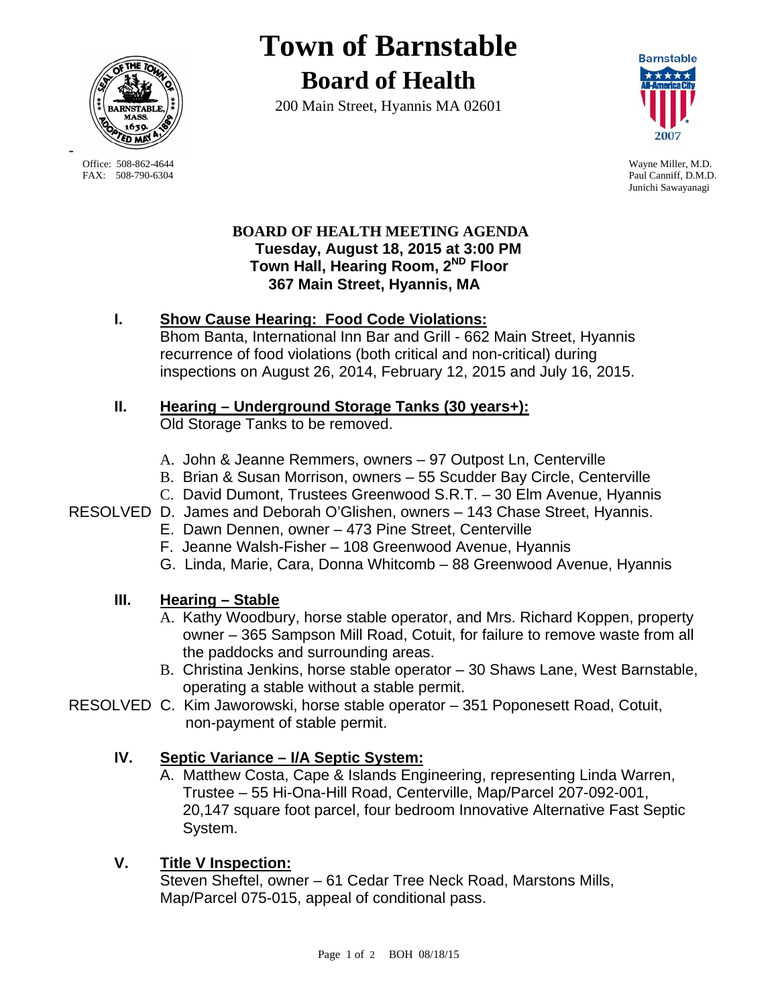

**Town of Barnstable Board of Health**

200 Main Street, Hyannis MA 02601



Paul Canniff, D.M.D. Junichi Sawayanagi

### **BOARD OF HEALTH MEETING AGENDA Tuesday, August 18, 2015 at 3:00 PM Town Hall, Hearing Room, 2ND Floor 367 Main Street, Hyannis, MA**

## **I. Show Cause Hearing: Food Code Violations:**

Bhom Banta, International Inn Bar and Grill - 662 Main Street, Hyannis recurrence of food violations (both critical and non-critical) during inspections on August 26, 2014, February 12, 2015 and July 16, 2015.

## **II. Hearing – Underground Storage Tanks (30 years+):**

Old Storage Tanks to be removed.

- A. John & Jeanne Remmers, owners 97 Outpost Ln, Centerville
- B. Brian & Susan Morrison, owners 55 Scudder Bay Circle, Centerville
- C. David Dumont, Trustees Greenwood S.R.T. 30 Elm Avenue, Hyannis

## RESOLVED D. James and Deborah O'Glishen, owners – 143 Chase Street, Hyannis.

- E. Dawn Dennen, owner 473 Pine Street, Centerville
- F. Jeanne Walsh-Fisher 108 Greenwood Avenue, Hyannis
- G. Linda, Marie, Cara, Donna Whitcomb 88 Greenwood Avenue, Hyannis

## **III. Hearing – Stable**

- A. Kathy Woodbury, horse stable operator, and Mrs. Richard Koppen, property owner – 365 Sampson Mill Road, Cotuit, for failure to remove waste from all the paddocks and surrounding areas.
- B. Christina Jenkins, horse stable operator 30 Shaws Lane, West Barnstable, operating a stable without a stable permit.
- RESOLVED C. Kim Jaworowski, horse stable operator 351 Poponesett Road, Cotuit, non-payment of stable permit.

# **IV. Septic Variance – I/A Septic System:**

A. Matthew Costa, Cape & Islands Engineering, representing Linda Warren, Trustee – 55 Hi-Ona-Hill Road, Centerville, Map/Parcel 207-092-001, 20,147 square foot parcel, four bedroom Innovative Alternative Fast Septic System.

# **V. Title V Inspection:**

Steven Sheftel, owner – 61 Cedar Tree Neck Road, Marstons Mills, Map/Parcel 075-015, appeal of conditional pass.

-